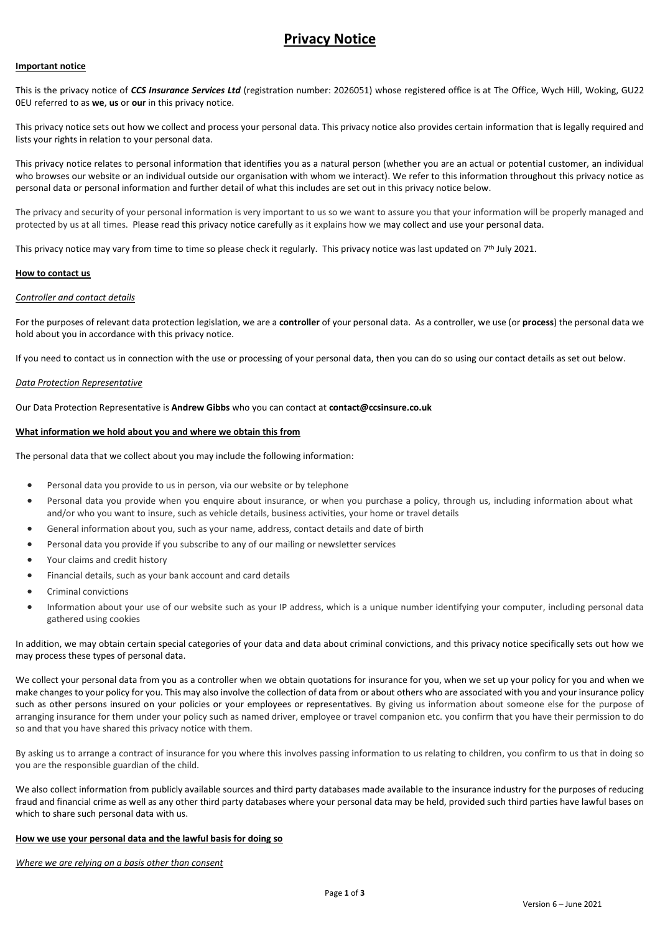# **Privacy Notice**

### **Important notice**

This is the privacy notice of *CCS Insurance Services Ltd* (registration number: 2026051) whose registered office is at The Office, Wych Hill, Woking, GU22 0EU referred to as **we**, **us** or **our** in this privacy notice.

This privacy notice sets out how we collect and process your personal data. This privacy notice also provides certain information that is legally required and lists your rights in relation to your personal data.

This privacy notice relates to personal information that identifies you as a natural person (whether you are an actual or potential customer, an individual who browses our website or an individual outside our organisation with whom we interact). We refer to this information throughout this privacy notice as personal data or personal information and further detail of what this includes are set out in this privacy notice below.

The privacy and security of your personal information is very important to us so we want to assure you that your information will be properly managed and protected by us at all times. Please read this privacy notice carefully as it explains how we may collect and use your personal data.

This privacy notice may vary from time to time so please check it regularly. This privacy notice was last updated on 7<sup>th</sup> July 2021.

#### **How to contact us**

#### *Controller and contact details*

For the purposes of relevant data protection legislation, we are a **controller** of your personal data. As a controller, we use (or **process**) the personal data we hold about you in accordance with this privacy notice.

If you need to contact us in connection with the use or processing of your personal data, then you can do so using our contact details as set out below.

# *Data Protection Representative*

Our Data Protection Representative is **Andrew Gibbs** who you can contact at **contact@ccsinsure.co.uk**

#### **What information we hold about you and where we obtain this from**

The personal data that we collect about you may include the following information:

- Personal data you provide to us in person, via our website or by telephone
- Personal data you provide when you enquire about insurance, or when you purchase a policy, through us, including information about what and/or who you want to insure, such as vehicle details, business activities, your home or travel details
- General information about you, such as your name, address, contact details and date of birth
- Personal data you provide if you subscribe to any of our mailing or newsletter services
- Your claims and credit history
- Financial details, such as your bank account and card details
- Criminal convictions
- Information about your use of our website such as your IP address, which is a unique number identifying your computer, including personal data gathered using cookies

In addition, we may obtain certain special categories of your data and data about criminal convictions, and this privacy notice specifically sets out how we may process these types of personal data.

We collect your personal data from you as a controller when we obtain quotations for insurance for you, when we set up your policy for you and when we make changes to your policy for you. This may also involve the collection of data from or about others who are associated with you and your insurance policy such as other persons insured on your policies or your employees or representatives. By giving us information about someone else for the purpose of arranging insurance for them under your policy such as named driver, employee or travel companion etc. you confirm that you have their permission to do so and that you have shared this privacy notice with them.

By asking us to arrange a contract of insurance for you where this involves passing information to us relating to children, you confirm to us that in doing so you are the responsible guardian of the child.

We also collect information from publicly available sources and third party databases made available to the insurance industry for the purposes of reducing fraud and financial crime as well as any other third party databases where your personal data may be held, provided such third parties have lawful bases on which to share such personal data with us.

#### **How we use your personal data and the lawful basis for doing so**

*Where we are relying on a basis other than consent*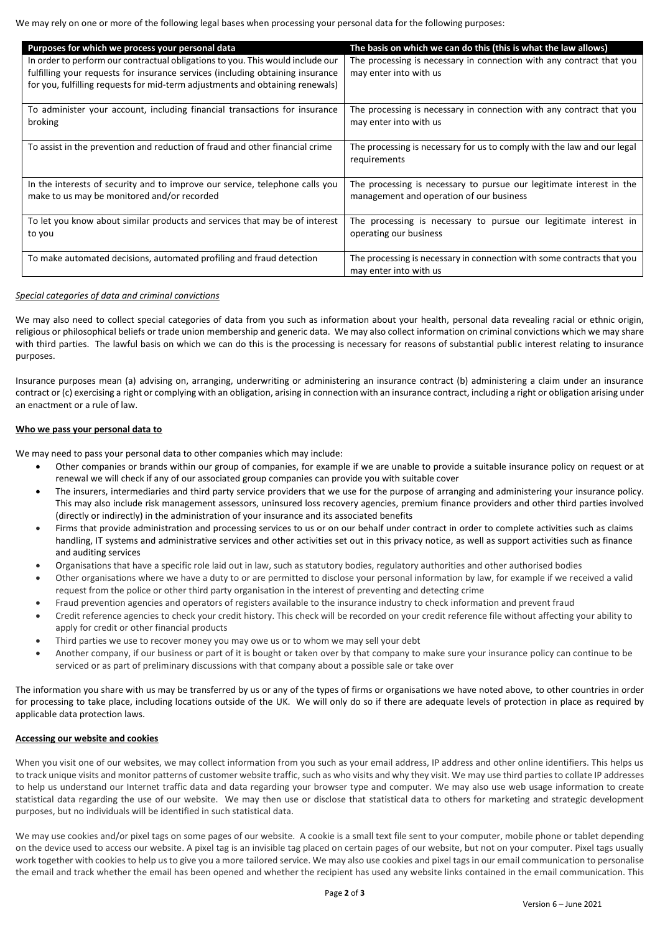We may rely on one or more of the following legal bases when processing your personal data for the following purposes:

| Purposes for which we process your personal data                               | The basis on which we can do this (this is what the law allows)         |
|--------------------------------------------------------------------------------|-------------------------------------------------------------------------|
| In order to perform our contractual obligations to you. This would include our | The processing is necessary in connection with any contract that you    |
| fulfilling your requests for insurance services (including obtaining insurance | may enter into with us                                                  |
| for you, fulfilling requests for mid-term adjustments and obtaining renewals)  |                                                                         |
| To administer your account, including financial transactions for insurance     | The processing is necessary in connection with any contract that you    |
| broking                                                                        | may enter into with us                                                  |
|                                                                                |                                                                         |
| To assist in the prevention and reduction of fraud and other financial crime   | The processing is necessary for us to comply with the law and our legal |
|                                                                                | requirements                                                            |
|                                                                                |                                                                         |
| In the interests of security and to improve our service, telephone calls you   | The processing is necessary to pursue our legitimate interest in the    |
| make to us may be monitored and/or recorded                                    | management and operation of our business                                |
|                                                                                |                                                                         |
| To let you know about similar products and services that may be of interest    | The processing is necessary to pursue our legitimate interest in        |
| to you                                                                         | operating our business                                                  |
|                                                                                |                                                                         |
| To make automated decisions, automated profiling and fraud detection           | The processing is necessary in connection with some contracts that you  |
|                                                                                | may enter into with us                                                  |

# *Special categories of data and criminal convictions*

We may also need to collect special categories of data from you such as information about your health, personal data revealing racial or ethnic origin, religious or philosophical beliefs or trade union membership and generic data. We may also collect information on criminal convictions which we may share with third parties. The lawful basis on which we can do this is the processing is necessary for reasons of substantial public interest relating to insurance purposes.

Insurance purposes mean (a) advising on, arranging, underwriting or administering an insurance contract (b) administering a claim under an insurance contract or (c) exercising a right or complying with an obligation, arising in connection with an insurance contract, including a right or obligation arising under an enactment or a rule of law.

# **Who we pass your personal data to**

We may need to pass your personal data to other companies which may include:

- Other companies or brands within our group of companies, for example if we are unable to provide a suitable insurance policy on request or at renewal we will check if any of our associated group companies can provide you with suitable cover
- The insurers, intermediaries and third party service providers that we use for the purpose of arranging and administering your insurance policy. This may also include risk management assessors, uninsured loss recovery agencies, premium finance providers and other third parties involved (directly or indirectly) in the administration of your insurance and its associated benefits
- Firms that provide administration and processing services to us or on our behalf under contract in order to complete activities such as claims handling, IT systems and administrative services and other activities set out in this privacy notice, as well as support activities such as finance and auditing services
- Organisations that have a specific role laid out in law, such as statutory bodies, regulatory authorities and other authorised bodies
- Other organisations where we have a duty to or are permitted to disclose your personal information by law, for example if we received a valid request from the police or other third party organisation in the interest of preventing and detecting crime
- Fraud prevention agencies and operators of registers available to the insurance industry to check information and prevent fraud
- Credit reference agencies to check your credit history. This check will be recorded on your credit reference file without affecting your ability to apply for credit or other financial products
- Third parties we use to recover money you may owe us or to whom we may sell your debt
- Another company, if our business or part of it is bought or taken over by that company to make sure your insurance policy can continue to be serviced or as part of preliminary discussions with that company about a possible sale or take over

The information you share with us may be transferred by us or any of the types of firms or organisations we have noted above, to other countries in order for processing to take place, including locations outside of the UK. We will only do so if there are adequate levels of protection in place as required by applicable data protection laws.

# **Accessing our website and cookies**

When you visit one of our websites, we may collect information from you such as your email address, IP address and other online identifiers. This helps us to track unique visits and monitor patterns of customer website traffic, such as who visits and why they visit. We may use third parties to collate IP addresses to help us understand our Internet traffic data and data regarding your browser type and computer. We may also use web usage information to create statistical data regarding the use of our website. We may then use or disclose that statistical data to others for marketing and strategic development purposes, but no individuals will be identified in such statistical data.

We may use cookies and/or pixel tags on some pages of our website. A cookie is a small text file sent to your computer, mobile phone or tablet depending on the device used to access our website. A pixel tag is an invisible tag placed on certain pages of our website, but not on your computer. Pixel tags usually work together with cookies to help us to give you a more tailored service. We may also use cookies and pixel tags in our email communication to personalise the email and track whether the email has been opened and whether the recipient has used any website links contained in the email communication. This